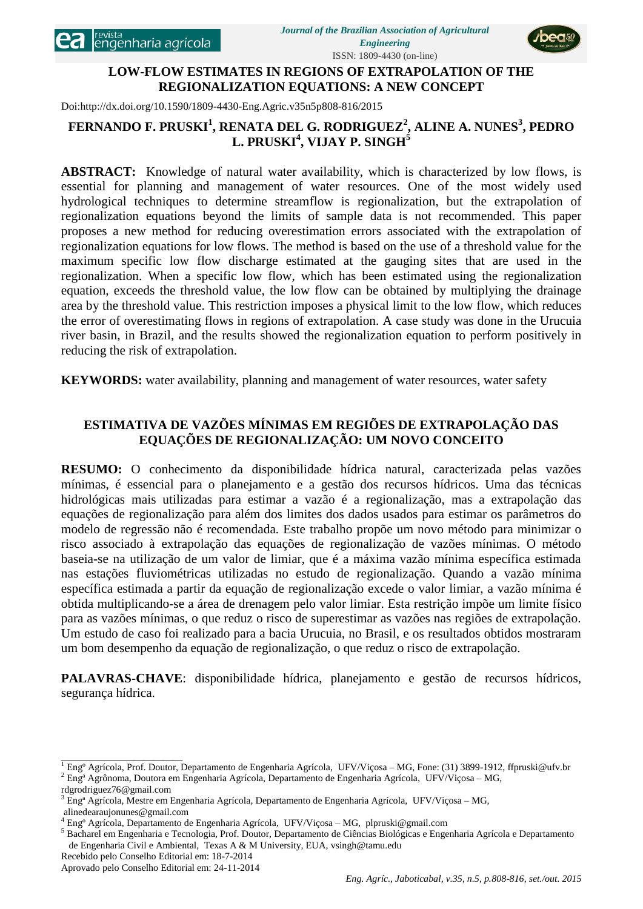

# **LOW-FLOW ESTIMATES IN REGIONS OF EXTRAPOLATION OF THE REGIONALIZATION EQUATIONS: A NEW CONCEPT**

Doi:http://dx.doi.org/10.1590/1809-4430-Eng.Agric.v35n5p808-816/2015

# **FERNANDO F. PRUSKI<sup>1</sup> , RENATA DEL G. RODRIGUEZ<sup>2</sup> , ALINE A. NUNES<sup>3</sup> , PEDRO L. PRUSKI<sup>4</sup> , VIJAY P. SINGH<sup>5</sup>**

**ABSTRACT:** Knowledge of natural water availability, which is characterized by low flows, is essential for planning and management of water resources. One of the most widely used hydrological techniques to determine streamflow is regionalization, but the extrapolation of regionalization equations beyond the limits of sample data is not recommended. This paper proposes a new method for reducing overestimation errors associated with the extrapolation of regionalization equations for low flows. The method is based on the use of a threshold value for the maximum specific low flow discharge estimated at the gauging sites that are used in the regionalization. When a specific low flow, which has been estimated using the regionalization equation, exceeds the threshold value, the low flow can be obtained by multiplying the drainage area by the threshold value. This restriction imposes a physical limit to the low flow, which reduces the error of overestimating flows in regions of extrapolation. A case study was done in the Urucuia river basin, in Brazil, and the results showed the regionalization equation to perform positively in reducing the risk of extrapolation.

**KEYWORDS:** water availability, planning and management of water resources, water safety

# **ESTIMATIVA DE VAZÕES MÍNIMAS EM REGIÕES DE EXTRAPOLAÇÃO DAS EQUAÇÕES DE REGIONALIZAÇÃO: UM NOVO CONCEITO**

**RESUMO:** O conhecimento da disponibilidade hídrica natural, caracterizada pelas vazões mínimas, é essencial para o planejamento e a gestão dos recursos hídricos. Uma das técnicas hidrológicas mais utilizadas para estimar a vazão é a regionalização, mas a extrapolação das equações de regionalização para além dos limites dos dados usados para estimar os parâmetros do modelo de regressão não é recomendada. Este trabalho propõe um novo método para minimizar o risco associado à extrapolação das equações de regionalização de vazões mínimas. O método baseia-se na utilização de um valor de limiar, que é a máxima vazão mínima específica estimada nas estações fluviométricas utilizadas no estudo de regionalização. Quando a vazão mínima específica estimada a partir da equação de regionalização excede o valor limiar, a vazão mínima é obtida multiplicando-se a área de drenagem pelo valor limiar. Esta restrição impõe um limite físico para as vazões mínimas, o que reduz o risco de superestimar as vazões nas regiões de extrapolação. Um estudo de caso foi realizado para a bacia Urucuia, no Brasil, e os resultados obtidos mostraram um bom desempenho da equação de regionalização, o que reduz o risco de extrapolação.

PALAVRAS-CHAVE: disponibilidade hídrica, planejamento e gestão de recursos hídricos, segurança hídrica.

\_\_\_\_\_\_\_\_\_\_\_\_\_\_\_\_\_\_\_\_\_\_\_\_\_

<sup>&</sup>lt;sup>1</sup> Eng<sup>o</sup> Agrícola, Prof. Doutor, Departamento de Engenharia Agrícola, UFV/Viçosa – MG, Fone: (31) 3899-1912, ffpruski@ufv.br <sup>2</sup> Engª Agrônoma, Doutora em Engenharia Agrícola, Departamento de Engenharia Agrícola, UFV/Viçosa – MG,

rdgrodriguez76@gmail.com

<sup>&</sup>lt;sup>3</sup> Eng<sup>a</sup> Agrícola, Mestre em Engenharia Agrícola, Departamento de Engenharia Agrícola, UFV/Vicosa – MG,

alinedearaujonunes@gmail.com

<sup>4</sup> Engº Agrícola, Departamento de Engenharia Agrícola, UFV/Viçosa – MG, plpruski@gmail.com

<sup>5</sup> Bacharel em Engenharia e Tecnologia, Prof. Doutor, Departamento de Ciências Biológicas e Engenharia Agrícola e Departamento de Engenharia Civil e Ambiental, Texas A & M University, EUA, vsingh@tamu.edu

Recebido pelo Conselho Editorial em: 18-7-2014

Aprovado pelo Conselho Editorial em: 24-11-2014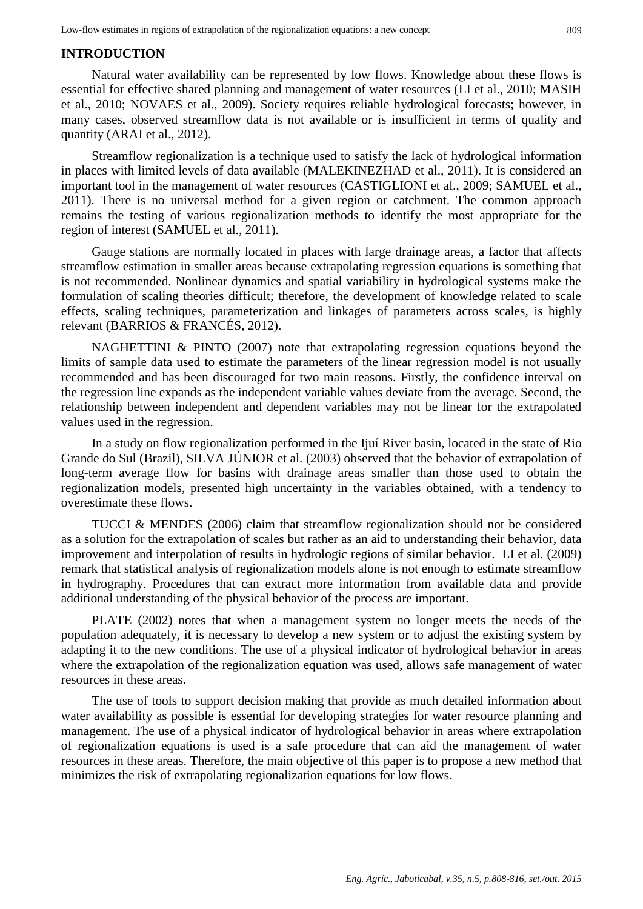### **INTRODUCTION**

Natural water availability can be represented by low flows. Knowledge about these flows is essential for effective shared planning and management of water resources (LI et al., 2010; MASIH et al., 2010; NOVAES et al., 2009). Society requires reliable hydrological forecasts; however, in many cases, observed streamflow data is not available or is insufficient in terms of quality and quantity (ARAI et al., 2012).

Streamflow regionalization is a technique used to satisfy the lack of hydrological information in places with limited levels of data available (MALEKINEZHAD et al., 2011). It is considered an important tool in the management of water resources (CASTIGLIONI et al., 2009; SAMUEL et al., 2011). There is no universal method for a given region or catchment. The common approach remains the testing of various regionalization methods to identify the most appropriate for the region of interest (SAMUEL et al., 2011).

Gauge stations are normally located in places with large drainage areas, a factor that affects streamflow estimation in smaller areas because extrapolating regression equations is something that is not recommended. Nonlinear dynamics and spatial variability in hydrological systems make the formulation of scaling theories difficult; therefore, the development of knowledge related to scale effects, scaling techniques, parameterization and linkages of parameters across scales, is highly relevant (BARRIOS & FRANCÉS, 2012).

NAGHETTINI & PINTO (2007) note that extrapolating regression equations beyond the limits of sample data used to estimate the parameters of the linear regression model is not usually recommended and has been discouraged for two main reasons. Firstly, the confidence interval on the regression line expands as the independent variable values deviate from the average. Second, the relationship between independent and dependent variables may not be linear for the extrapolated values used in the regression.

In a study on flow regionalization performed in the Ijuí River basin, located in the state of Rio Grande do Sul (Brazil), SILVA JÚNIOR et al. (2003) observed that the behavior of extrapolation of long-term average flow for basins with drainage areas smaller than those used to obtain the regionalization models, presented high uncertainty in the variables obtained, with a tendency to overestimate these flows.

TUCCI & MENDES (2006) claim that streamflow regionalization should not be considered as a solution for the extrapolation of scales but rather as an aid to understanding their behavior, data improvement and interpolation of results in hydrologic regions of similar behavior. LI et al. (2009) remark that statistical analysis of regionalization models alone is not enough to estimate streamflow in hydrography. Procedures that can extract more information from available data and provide additional understanding of the physical behavior of the process are important.

PLATE (2002) notes that when a management system no longer meets the needs of the population adequately, it is necessary to develop a new system or to adjust the existing system by adapting it to the new conditions. The use of a physical indicator of hydrological behavior in areas where the extrapolation of the regionalization equation was used, allows safe management of water resources in these areas.

The use of tools to support decision making that provide as much detailed information about water availability as possible is essential for developing strategies for water resource planning and management. The use of a physical indicator of hydrological behavior in areas where extrapolation of regionalization equations is used is a safe procedure that can aid the management of water resources in these areas. Therefore, the main objective of this paper is to propose a new method that minimizes the risk of extrapolating regionalization equations for low flows.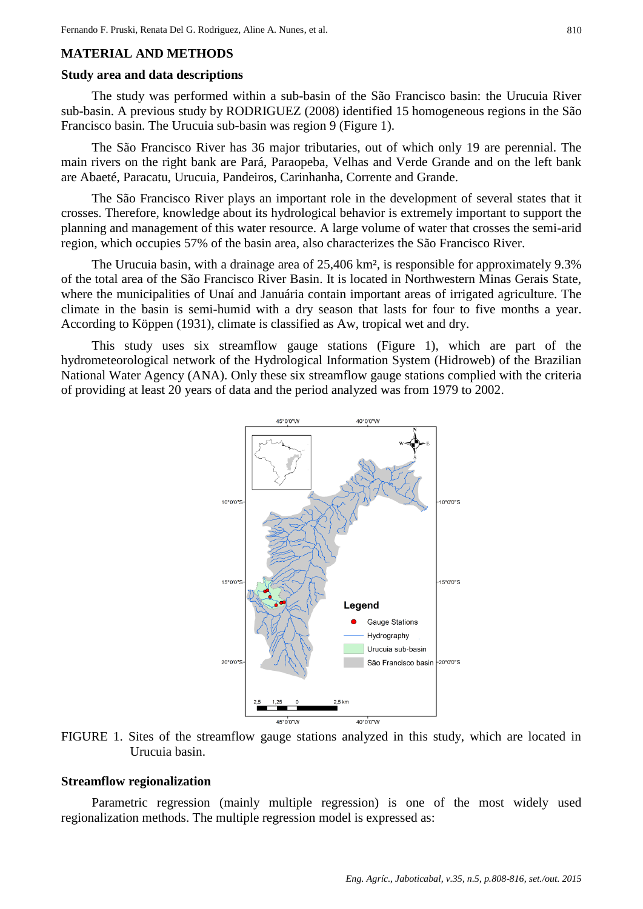### **MATERIAL AND METHODS**

#### **Study area and data descriptions**

The study was performed within a sub-basin of the São Francisco basin: the Urucuia River sub-basin. A previous study by RODRIGUEZ (2008) identified 15 homogeneous regions in the São Francisco basin. The Urucuia sub-basin was region 9 (Figure 1).

The São Francisco River has 36 major tributaries, out of which only 19 are perennial. The main rivers on the right bank are Pará, Paraopeba, Velhas and Verde Grande and on the left bank are Abaeté, Paracatu, Urucuia, Pandeiros, Carinhanha, Corrente and Grande.

The São Francisco River plays an important role in the development of several states that it crosses. Therefore, knowledge about its hydrological behavior is extremely important to support the planning and management of this water resource. A large volume of water that crosses the semi-arid region, which occupies 57% of the basin area, also characterizes the São Francisco River.

The Urucuia basin, with a drainage area of 25,406 km², is responsible for approximately 9.3% of the total area of the São Francisco River Basin. It is located in Northwestern Minas Gerais State, where the municipalities of Unaí and Januária contain important areas of irrigated agriculture. The climate in the basin is semi-humid with a dry season that lasts for four to five months a year. According to Köppen (1931), climate is classified as Aw, tropical wet and dry.

This study uses six streamflow gauge stations (Figure 1), which are part of the hydrometeorological network of the Hydrological Information System (Hidroweb) of the Brazilian National Water Agency (ANA). Only these six streamflow gauge stations complied with the criteria of providing at least 20 years of data and the period analyzed was from 1979 to 2002.



FIGURE 1. Sites of the streamflow gauge stations analyzed in this study, which are located in Urucuia basin.

## **Streamflow regionalization**

Parametric regression (mainly multiple regression) is one of the most widely used regionalization methods. The multiple regression model is expressed as: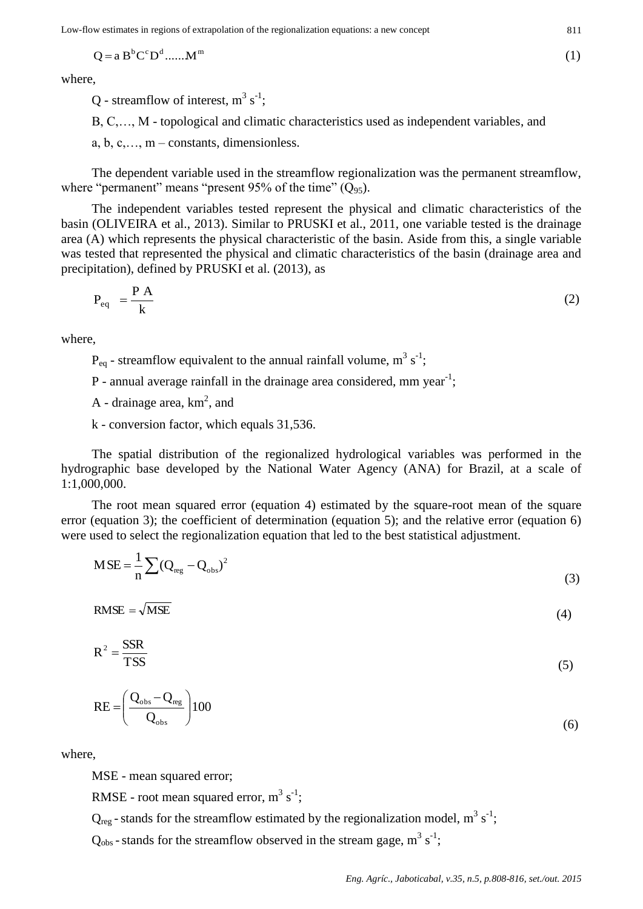Low-flow estimates in regions of extrapolation of the regionalization equations: a new concept

 $Q = a B^{b} C^{c} D^{d} \dots M^{m}$  (1)

where,

Q - streamflow of interest,  $m^3 s^{-1}$ ;

B, C,…, M - topological and climatic characteristics used as independent variables, and

a, b, c,…, m – constants, dimensionless.

The dependent variable used in the streamflow regionalization was the permanent streamflow, where "permanent" means "present  $95\%$  of the time" ( $Q_{95}$ ).

The independent variables tested represent the physical and climatic characteristics of the basin (OLIVEIRA et al., 2013). Similar to PRUSKI et al., 2011, one variable tested is the drainage area (A) which represents the physical characteristic of the basin. Aside from this, a single variable was tested that represented the physical and climatic characteristics of the basin (drainage area and precipitation), defined by PRUSKI et al. (2013), as

$$
P_{eq} = \frac{PA}{k} \tag{2}
$$

where,

 $P_{eq}$  - streamflow equivalent to the annual rainfall volume,  $m^3 s^{-1}$ ;

P - annual average rainfall in the drainage area considered, mm year<sup>-1</sup>;

A - drainage area,  $km<sup>2</sup>$ , and

k - conversion factor, which equals 31,536.

The spatial distribution of the regionalized hydrological variables was performed in the hydrographic base developed by the National Water Agency (ANA) for Brazil, at a scale of 1:1,000,000.

The root mean squared error (equation 4) estimated by the square-root mean of the square error (equation 3); the coefficient of determination (equation 5); and the relative error (equation 6) were used to select the regionalization equation that led to the best statistical adjustment.

$$
MSE = \frac{1}{n} \sum (Q_{\text{reg}} - Q_{\text{obs}})^2
$$
 (3)

$$
RMSE = \sqrt{MSE}
$$
 (4)

$$
R^2 = \frac{SSR}{TSS}
$$
 (5)

$$
RE = \left(\frac{Q_{\text{obs}} - Q_{\text{reg}}}{Q_{\text{obs}}}\right) 100\tag{6}
$$

where,

MSE - mean squared error;

RMSE - root mean squared error,  $m^3 s^{-1}$ ;

 $Q_{reg}$  -stands for the streamflow estimated by the regionalization model, m<sup>3</sup> s<sup>-1</sup>;

 $Q_{obs}$  - stands for the streamflow observed in the stream gage,  $m^3 s^{-1}$ ;

811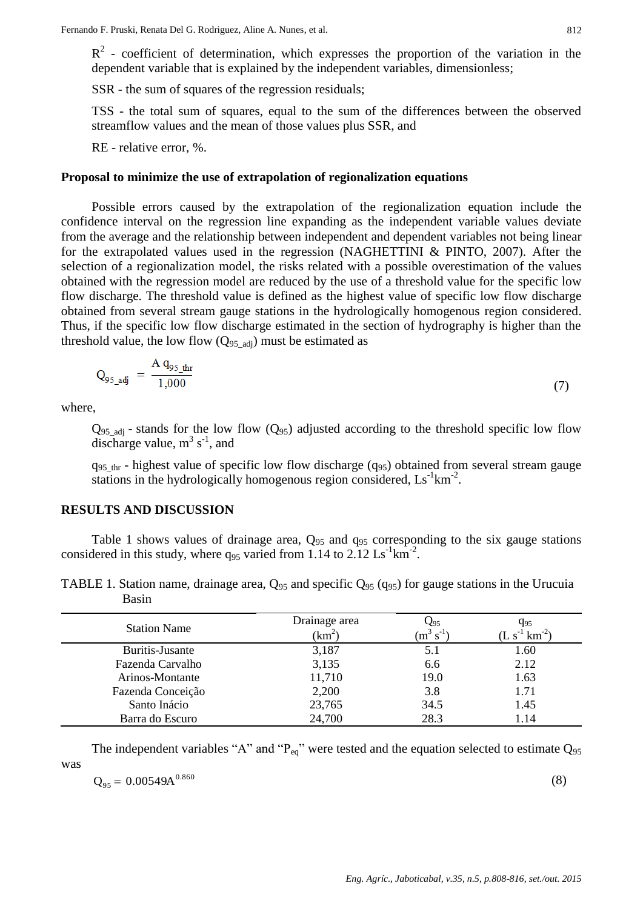$R<sup>2</sup>$  - coefficient of determination, which expresses the proportion of the variation in the dependent variable that is explained by the independent variables, dimensionless;

SSR - the sum of squares of the regression residuals;

TSS - the total sum of squares, equal to the sum of the differences between the observed streamflow values and the mean of those values plus SSR, and

RE - relative error, %.

### **Proposal to minimize the use of extrapolation of regionalization equations**

Possible errors caused by the extrapolation of the regionalization equation include the confidence interval on the regression line expanding as the independent variable values deviate from the average and the relationship between independent and dependent variables not being linear for the extrapolated values used in the regression (NAGHETTINI & PINTO, 2007). After the selection of a regionalization model, the risks related with a possible overestimation of the values obtained with the regression model are reduced by the use of a threshold value for the specific low flow discharge. The threshold value is defined as the highest value of specific low flow discharge obtained from several stream gauge stations in the hydrologically homogenous region considered. Thus, if the specific low flow discharge estimated in the section of hydrography is higher than the threshold value, the low flow  $(Q_{95 \text{ adi}})$  must be estimated as

$$
Q_{95\_adj} = \frac{A q_{95\_thr}}{1,000}
$$
 (7)

where,

 $Q_{95\text{ adi}}$  - stands for the low flow ( $Q_{95}$ ) adjusted according to the threshold specific low flow discharge value,  $m^3 s^{-1}$ , and

 $q_{95\text{ thr}}$  - highest value of specific low flow discharge ( $q_{95}$ ) obtained from several stream gauge stations in the hydrologically homogenous region considered,  $\text{Ls}^{-1}\text{km}^{-2}$ .

#### **RESULTS AND DISCUSSION**

Table 1 shows values of drainage area,  $Q_{95}$  and  $q_{95}$  corresponding to the six gauge stations considered in this study, where  $q_{95}$  varied from 1.14 to 2.12 Ls<sup>-1</sup>km<sup>-2</sup>.

| TABLE 1. Station name, drainage area, $Q_{95}$ and specific $Q_{95}$ (q <sub>95</sub> ) for gauge stations in the Urucuia |  |  |  |
|---------------------------------------------------------------------------------------------------------------------------|--|--|--|
| Basin                                                                                                                     |  |  |  |

| <b>Station Name</b> | Drainage area<br>$(km^2)$ | $\mathsf{Q}$ 95<br>$\rm (m^3)$<br>$S^{-1}$ | $q_{95}$<br>$k$ m <sup>-2</sup><br>$\rm L~s^{-1}$ |
|---------------------|---------------------------|--------------------------------------------|---------------------------------------------------|
| Buritis-Jusante     | 3,187                     | 5.1                                        | 1.60                                              |
| Fazenda Carvalho    | 3,135                     | 6.6                                        | 2.12                                              |
| Arinos-Montante     | 11,710                    | 19.0                                       | 1.63                                              |
| Fazenda Conceição   | 2,200                     | 3.8                                        | 1.71                                              |
| Santo Inácio        | 23,765                    | 34.5                                       | 1.45                                              |
| Barra do Escuro     | 24,700                    | 28.3                                       | 1.14                                              |

The independent variables "A" and " $P_{eq}$ " were tested and the equation selected to estimate  $Q_{95}$ 

$$
Q_{95} = 0.00549A^{0.860}
$$
 (8)

was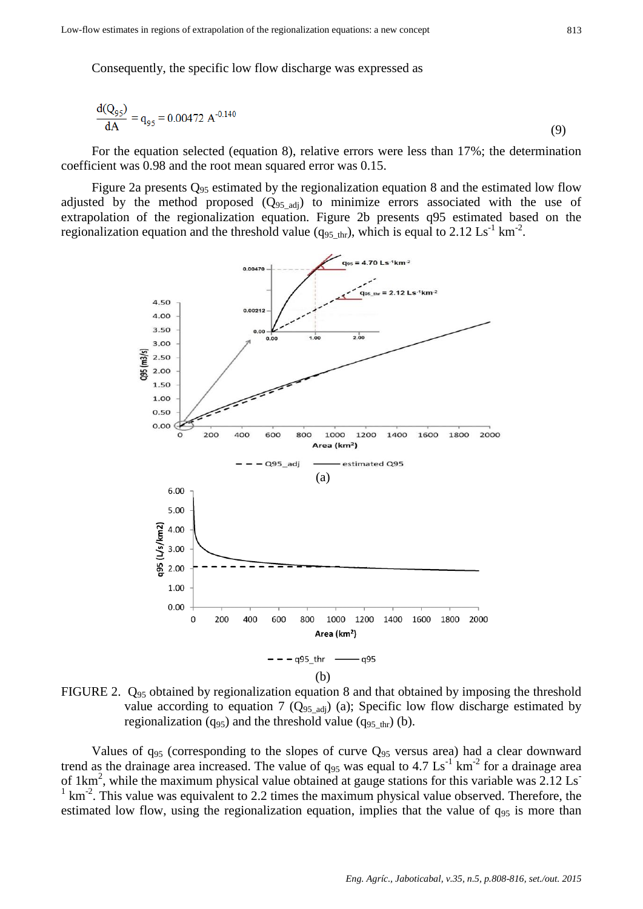Consequently, the specific low flow discharge was expressed as

$$
\frac{d(Q_{95})}{dA} = q_{95} = 0.00472 A^{-0.140}
$$
\n(9)

For the equation selected (equation 8), relative errors were less than 17%; the determination coefficient was 0.98 and the root mean squared error was 0.15.

Figure 2a presents  $Q_{95}$  estimated by the regionalization equation 8 and the estimated low flow adjusted by the method proposed  $(Q_{95\_adi})$  to minimize errors associated with the use of extrapolation of the regionalization equation. Figure 2b presents q95 estimated based on the regionalization equation and the threshold value ( $q_{95\text{\tiny{-}}thr}$ ), which is equal to 2.12 Ls<sup>-1</sup> km<sup>-2</sup>.



FIGURE 2.  $Q_{95}$  obtained by regionalization equation 8 and that obtained by imposing the threshold value according to equation 7 ( $Q_{95\_adi}$ ) (a); Specific low flow discharge estimated by regionalization (q<sub>95</sub>) and the threshold value (q<sub>95\_thr</sub>) (b).

Values of  $q_{95}$  (corresponding to the slopes of curve  $Q_{95}$  versus area) had a clear downward trend as the drainage area increased. The value of  $q_{95}$  was equal to 4.7 Ls<sup>-1</sup> km<sup>-2</sup> for a drainage area of 1km<sup>2</sup>, while the maximum physical value obtained at gauge stations for this variable was 2.12 Ls<sup>-</sup>  $1 \text{ km}^2$ . This value was equivalent to 2.2 times the maximum physical value observed. Therefore, the estimated low flow, using the regionalization equation, implies that the value of  $q_{95}$  is more than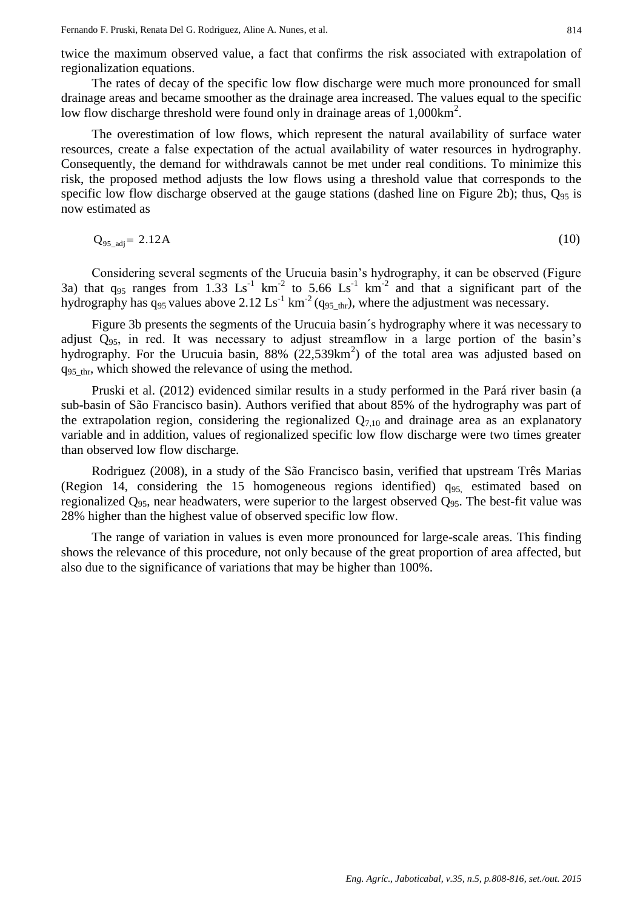twice the maximum observed value, a fact that confirms the risk associated with extrapolation of regionalization equations.

The rates of decay of the specific low flow discharge were much more pronounced for small drainage areas and became smoother as the drainage area increased. The values equal to the specific low flow discharge threshold were found only in drainage areas of  $1,000 \text{km}^2$ .

The overestimation of low flows, which represent the natural availability of surface water resources, create a false expectation of the actual availability of water resources in hydrography. Consequently, the demand for withdrawals cannot be met under real conditions. To minimize this risk, the proposed method adjusts the low flows using a threshold value that corresponds to the specific low flow discharge observed at the gauge stations (dashed line on Figure 2b); thus,  $Q_{95}$  is now estimated as

$$
Q_{95\_adj} = 2.12A \tag{10}
$$

Considering several segments of the Urucuia basin's hydrography, it can be observed (Figure 3a) that  $q_{95}$  ranges from 1.33 Ls<sup>-1</sup> km<sup>-2</sup> to 5.66 Ls<sup>-1</sup> km<sup>-2</sup> and that a significant part of the hydrography has  $q_{95}$  values above 2.12 Ls<sup>-1</sup> km<sup>-2</sup> ( $q_{95\_thr}$ ), where the adjustment was necessary.

Figure 3b presents the segments of the Urucuia basin´s hydrography where it was necessary to adjust  $Q_{95}$ , in red. It was necessary to adjust streamflow in a large portion of the basin's hydrography. For the Urucuia basin,  $88\%$   $(22,539km^2)$  of the total area was adjusted based on  $q_{95\text{ thr}}$ , which showed the relevance of using the method.

Pruski et al. (2012) evidenced similar results in a study performed in the Pará river basin (a sub-basin of São Francisco basin). Authors verified that about 85% of the hydrography was part of the extrapolation region, considering the regionalized  $Q_{7,10}$  and drainage area as an explanatory variable and in addition, values of regionalized specific low flow discharge were two times greater than observed low flow discharge.

Rodriguez (2008), in a study of the São Francisco basin, verified that upstream Três Marias (Region 14, considering the 15 homogeneous regions identified) q95, estimated based on regionalized  $Q_{95}$ , near headwaters, were superior to the largest observed  $Q_{95}$ . The best-fit value was 28% higher than the highest value of observed specific low flow.

The range of variation in values is even more pronounced for large-scale areas. This finding shows the relevance of this procedure, not only because of the great proportion of area affected, but also due to the significance of variations that may be higher than 100%.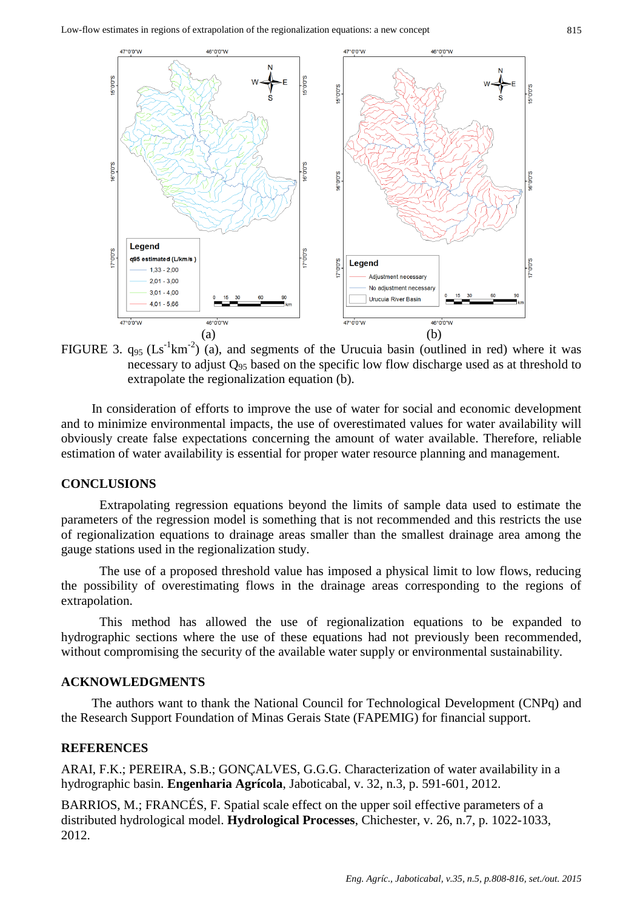

FIGURE 3.  $q_{95}$  (Ls<sup>-1</sup>km<sup>-2</sup>) (a), and segments of the Urucuia basin (outlined in red) where it was necessary to adjust  $Q_{95}$  based on the specific low flow discharge used as at threshold to extrapolate the regionalization equation (b).

In consideration of efforts to improve the use of water for social and economic development and to minimize environmental impacts, the use of overestimated values for water availability will obviously create false expectations concerning the amount of water available. Therefore, reliable estimation of water availability is essential for proper water resource planning and management.

### **CONCLUSIONS**

Extrapolating regression equations beyond the limits of sample data used to estimate the parameters of the regression model is something that is not recommended and this restricts the use of regionalization equations to drainage areas smaller than the smallest drainage area among the gauge stations used in the regionalization study.

The use of a proposed threshold value has imposed a physical limit to low flows, reducing the possibility of overestimating flows in the drainage areas corresponding to the regions of extrapolation.

This method has allowed the use of regionalization equations to be expanded to hydrographic sections where the use of these equations had not previously been recommended, without compromising the security of the available water supply or environmental sustainability.

### **ACKNOWLEDGMENTS**

The authors want to thank the National Council for Technological Development (CNPq) and the Research Support Foundation of Minas Gerais State (FAPEMIG) for financial support.

# **REFERENCES**

ARAI, F.K.; PEREIRA, S.B.; GONÇALVES, G.G.G. Characterization of water availability in a hydrographic basin. **Engenharia Agrícola**, Jaboticabal, v. 32, n.3, p. 591-601, 2012.

BARRIOS, M.; FRANCÉS, F. Spatial scale effect on the upper soil effective parameters of a distributed hydrological model. **Hydrological Processes**, Chichester, v. 26, n.7, p. 1022-1033, 2012.